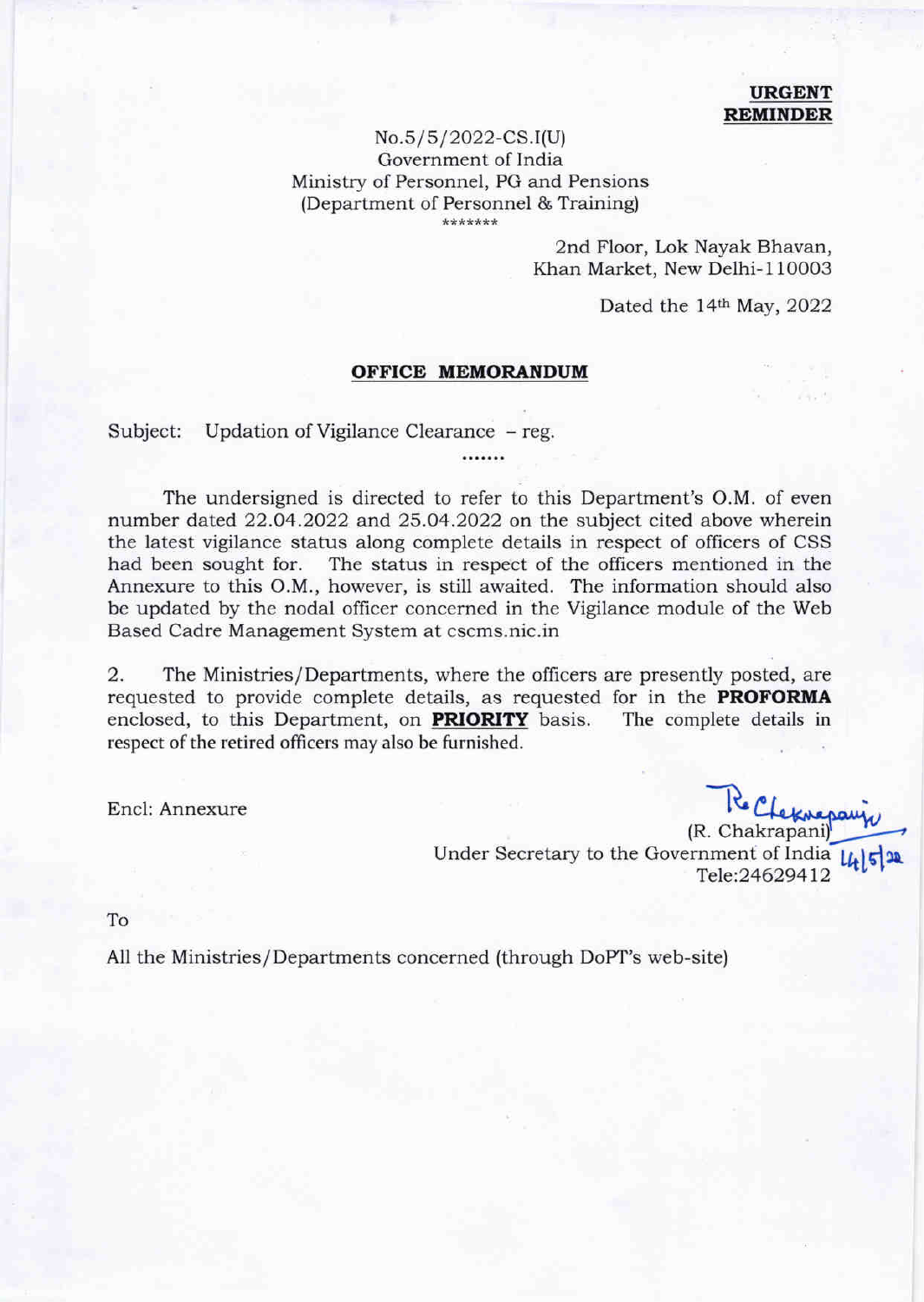## URGENT REMINDER

No.s/s/2022-CS.I(U) Government of India Ministry of Personnel, PG and Pensions (Department of Personnel & Training)

> 2nd Floor, Lok Nayak Bhavan, Khan Market, New Delhi-110003

> > Dated the  $14<sup>th</sup>$  May, 2022

## OFFICE MEMORANDUM

Subject: Updation of Vigilance Clearance - reg.

The undersigned is directed to refer to this Department's O.M. of even number dated 22.04.2022 and 25.04.2022 on the subject cited above wherein the latest vigilance status along complete details in respect of officers of CSS had been sought for. The status in respect of the officers mentioned in the Annexure to this O.M., however, is still awaited. The information should also be updated by the nodal officer concerned in the Vigilance module of the Web Based Cadre Management System at cscms.nic.in

2. The Ministries/Departments, where the officers are presently posted, are requested to provide complete details, as requested for in the **PROFORMA** enclosed, to this Department, on **PRIORITY** basis. The complete details in enclosed, to this Department, on PRIORITY basis. respect of the retired officers may also be furnished.

Encl: Annexure

Clekne paup Under Secretary to the Government of India  $\frac{1}{4}$ <br>Tele:24629412

To

A11 the Ministries/Departments concerned (through DoPT's web-site)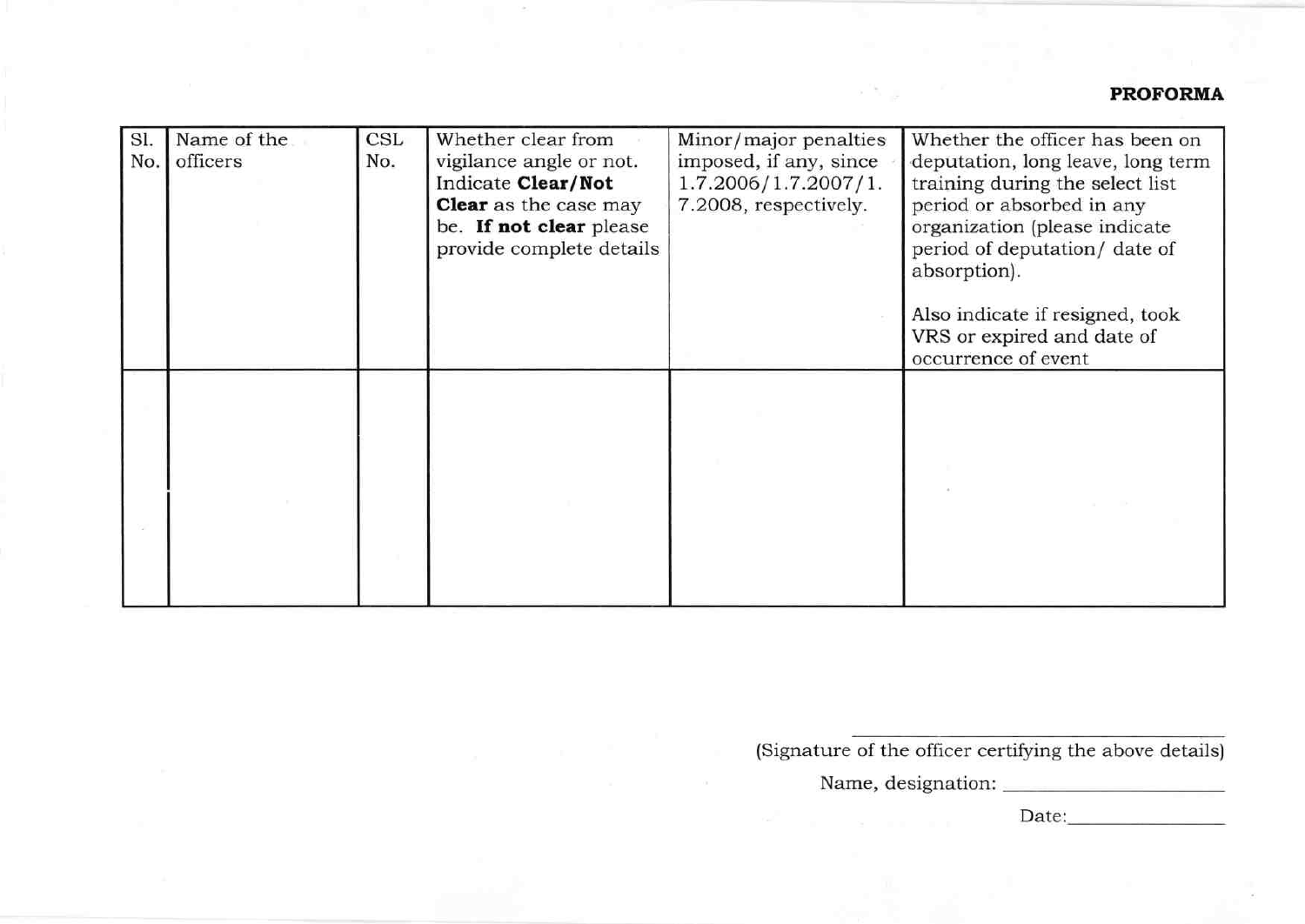## PROFORMA

| Sl.<br>No. | Name of the<br>officers | CSL<br>No. | Whether clear from<br>vigilance angle or not.<br>Indicate Clear/Not<br><b>Clear</b> as the case may<br>be. If not clear please<br>provide complete details | Minor/major penalties<br>imposed, if any, since<br>1.7.2006/1.7.2007/1.<br>7.2008, respectively. | Whether the officer has been on<br>deputation, long leave, long term<br>training during the select list<br>period or absorbed in any<br>organization (please indicate<br>period of deputation/ date of<br>absorption).<br>Also indicate if resigned, took<br>VRS or expired and date of<br>occurrence of event |
|------------|-------------------------|------------|------------------------------------------------------------------------------------------------------------------------------------------------------------|--------------------------------------------------------------------------------------------------|----------------------------------------------------------------------------------------------------------------------------------------------------------------------------------------------------------------------------------------------------------------------------------------------------------------|
|            |                         |            |                                                                                                                                                            |                                                                                                  |                                                                                                                                                                                                                                                                                                                |

(Signature of the officer certifying the above details)

Name, designation:

o Nij

Date: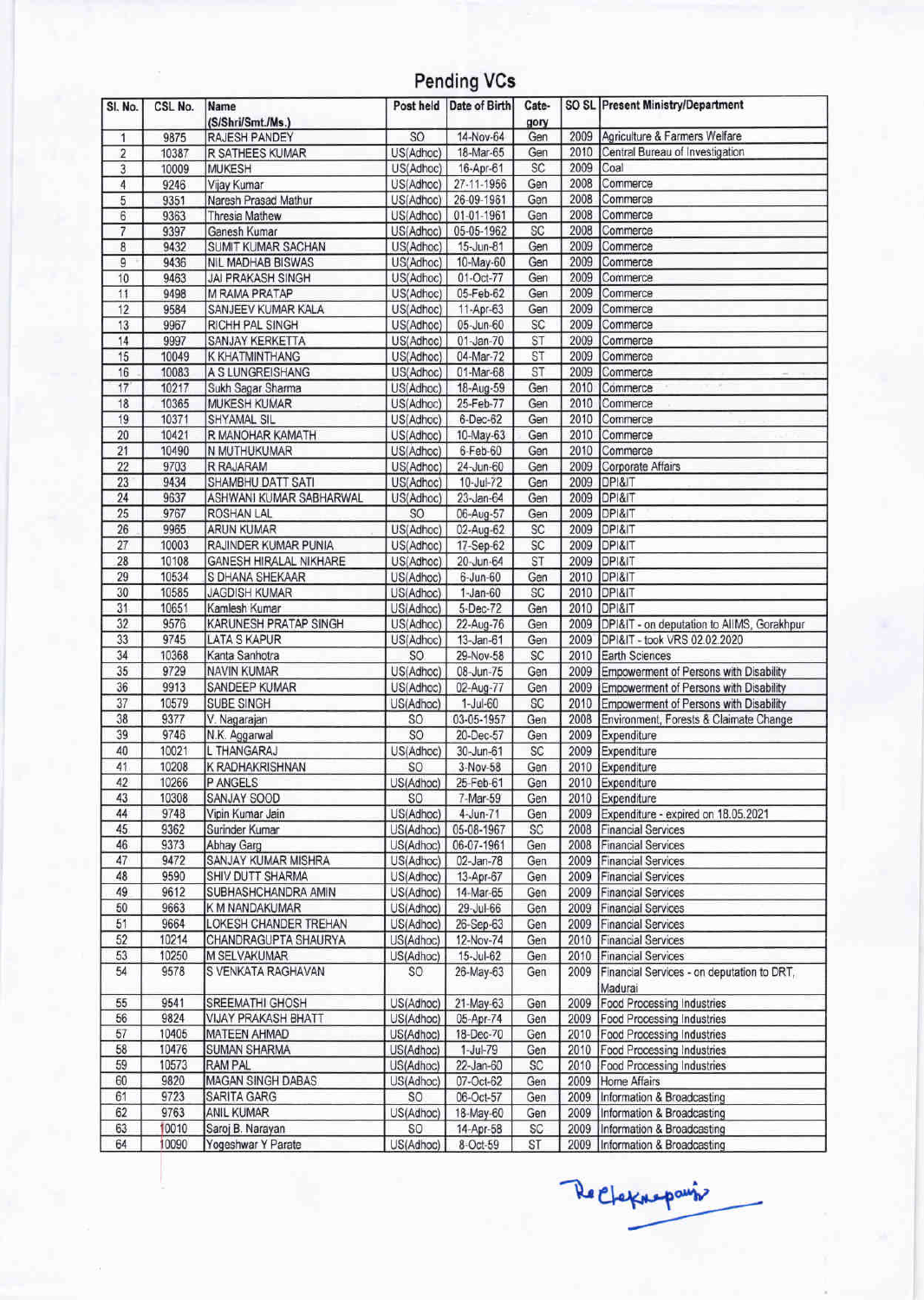## Pending VCs

| SI. No.        | CSL No.        | Name<br>(S/Shri/Smt./Ms.)     | Post held              | Date of Birth         | Cate-<br>gory |              | SO SL Present Ministry/Department               |
|----------------|----------------|-------------------------------|------------------------|-----------------------|---------------|--------------|-------------------------------------------------|
| 1              | 9875           | RAJESH PANDEY                 | S <sub>O</sub>         | 14-Nov-64             | Gen           |              | 2009 Agriculture & Farmers Welfare              |
| $\overline{2}$ | 10387          | R SATHEES KUMAR               | US(Adhoc)              | 18-Mar-65             | Gen           | 2010         | Central Bureau of Investigation                 |
| 3              | 10009          | <b>MUKESH</b>                 | US(Adhoc)              | 16-Apr-61             | SC            | 2009         | Coal                                            |
| 4              | 9246           | Vijay Kumar                   | US(Adhoc)              | 27-11-1956            | Gen           | 2008         | Commerce                                        |
| 5              | 9351           | Naresh Prasad Mathur          | US(Adhoc)              | 26-09-1961            | Gen           | 2008         | Commerce                                        |
| 6              | 9363           | Thresia Mathew                | US(Adhoc)              | 01-01-1961            | Gen           | 2008         | Commerce                                        |
| $\overline{7}$ | 9397           | Ganesh Kumar                  | US(Adhoc)              | 05-05-1962            | SC            | 2008         | Commerce                                        |
| 8              | 9432           | SUMIT KUMAR SACHAN            | US(Adhoc)              | 15-Jun-81             | Gen           | 2009         | Commerce                                        |
| 9              | 9436           | NIL MADHAB BISWAS             | US(Adhoc)              | 10-May-60             | Gen           | 2009         | Commerce                                        |
| 10             | 9463           | <b>JAI PRAKASH SINGH</b>      | US(Adhoc)              | 01-Oct-77             | Gen           | 2009         | Commerce                                        |
| 11             | 9498           | <b>M RAMA PRATAP</b>          | US(Adhoc)              | 05-Feb-62             | Gen           | 2009         | Commerce                                        |
| 12             | 9584           | SANJEEV KUMAR KALA            | US(Adhoc)              | 11-Apr-63             | Gen           | 2009         | Commerce                                        |
| 13             | 9967           | RICHH PAL SINGH               | US(Adhoc)              | 05-Jun-60             | SC            | 2009         | Commerce                                        |
| 14             | 9997           | SANJAY KERKETTA               | US(Adhoc)              | $01$ -Jan-70          | <b>ST</b>     | 2009         | Commerce                                        |
| 15             | 10049          | <b>K KHATMINTHANG</b>         | US(Adhoc)              | 04-Mar-72             | ST            | 2009         | Commerce                                        |
| 16<br>17       | 10083          | A S LUNGREISHANG              | US(Adhoc)              | 01-Mar-68             | <b>ST</b>     | 2009         | Commerce<br>Commerce                            |
| 18             | 10217<br>10365 | Sukh Sagar Sharma             | US(Adhoc)              | 18-Aug-59             | Gen<br>Gen    | 2010<br>2010 | Commerce                                        |
| 19             | 10371          | MUKESH KUMAR<br>SHYAMAL SIL   | US(Adhoc)<br>US(Adhoc) | 25-Feb-77<br>6-Dec-62 | Gen           | 2010         | Commerce                                        |
| 20             | 10421          | R MANOHAR KAMATH              |                        | 10-May-63             | Gen           | 2010         | Commerce                                        |
| 21             | 10490          | N MUTHUKUMAR                  | US(Adhoc)<br>US(Adhoc) | 6-Feb-60              | Gen           | 2010         | Commerce                                        |
| 22             | 9703           | R RAJARAM                     | US(Adhoc)              | 24-Jun-60             | Gen           | 2009         | Corporate Affairs                               |
| 23             | 9434           | SHAMBHU DATT SATI             | US(Adhoc)              | 10-Jul-72             | Gen           |              | 2009 DPI&IT                                     |
| 24             | 9637           | ASHWANI KUMAR SABHARWAL       | US(Adhoc)              | 23-Jan-64             | Gen           | 2009         | <b>DPI&amp;IT</b>                               |
| 25             | 9767           | <b>ROSHAN LAL</b>             | SO                     | 06-Aug-57             | Gen           | 2009         | DPI&IT                                          |
| 26             | 9965           | <b>ARUN KUMAR</b>             | US(Adhoc)              | 02-Aug-62             | SC            | 2009         | DPI&IT                                          |
| 27             | 10003          | RAJINDER KUMAR PUNIA          | US(Adhoc)              | 17-Sep-62             | SC            | 2009         | DPI&IT                                          |
| 28             | 10108          | <b>GANESH HIRALAL NIKHARE</b> | US(Adhoc)              | 20-Jun-64             | <b>ST</b>     | 2009         | <b>DPI&amp;IT</b>                               |
| 29             | 10534          | S DHANA SHEKAAR               | US(Adhoc)              | 6-Jun-60              | Gen           | 2010         | <b>DPI&amp;IT</b>                               |
| 30             | 10585          | <b>JAGDISH KUMAR</b>          | US(Adhoc)              | $1-Jan-60$            | SC            | 2010         | <b>DPI&amp;IT</b>                               |
| 31             | 10651          | Kamlesh Kumar                 | US(Adhoc)              | 5-Dec-72              | Gen           |              | 2010 DPI&IT                                     |
| 32             | 9576           | KARUNESH PRATAP SINGH         | US(Adhoc)              | 22-Aug-76             | Gen           |              | 2009 DPI&IT - on deputation to AIIMS, Gorakhpur |
| 33             | 9745           | LATA S KAPUR                  | US(Adhoc)              | 13-Jan-61             | Gen           | 2009         | DPI&IT - took VRS 02.02.2020                    |
| 34             | 10368          | Kanta Sanhotra                | SO.                    | 29-Nov-58             | SC            |              | 2010 Earth Sciences                             |
| 35             | 9729           | NAVIN KUMAR                   | US(Adhoc)              | 08-Jun-75             | Gen           |              | 2009 Empowerment of Persons with Disability     |
| 36             | 9913           | SANDEEP KUMAR                 | US(Adhoc)              | 02-Aug-77             | Gen           | 2009         | Empowerment of Persons with Disability          |
| 37             | 10579          | SUBE SINGH                    | US(Adhoc)              | 1-Jul-60              | SC            | 2010         | Empowerment of Persons with Disability          |
| 38             | 9377           | V. Nagarajan                  | SO                     | 03-05-1957            | Gen           | 2008         | Environment, Forests & Claimate Change          |
| 39             | 9746           | N.K. Aggarwal                 | SO.                    | 20-Dec-57             | Gen           |              | 2009 Expenditure                                |
| 40             | 10021          | L THANGARAJ                   | US(Adhoc)              | 30-Jun-61             | SC            |              | 2009 Expenditure                                |
| 41             | 10208          | K RADHAKRISHNAN               | SO.                    | 3-Nov-58              | Gen           |              | 2010 Expenditure                                |
| 42             | 10266          | P ANGELS                      |                        | US(Adhoc) 25-Feb-61   | Gen           |              | 2010 Expenditure                                |
| 43             | 10308          | <b>SANJAY SOOD</b>            | SO.                    | 7-Mar-59              | Gen           |              | 2010 Expenditure                                |
| 44             | 9748           | Vipin Kumar Jain              | US(Adhoc)              | 4-Jun-71              | Gen           |              | 2009 Expenditure - expired on 18.05.2021        |
| 45             | 9362           | Surinder Kumar                | US(Adhoc)              | 05-08-1967            | SC            |              | 2008 Financial Services                         |
| 46             | 9373           | Abhay Garg                    | US(Adhoc)              | 06-07-1961            | Gen           |              | 2008 Financial Services                         |
| 47             | 9472           | SANJAY KUMAR MISHRA           | US(Adhoc)              | 02-Jan-78             | Gen           |              | 2009 Financial Services                         |
| 48             | 9590           | SHIV DUTT SHARMA              | US(Adhoc)              | 13-Apr-67             | Gen           |              | 2009 Financial Services                         |
| 49             | 9612           | SUBHASHCHANDRA AMIN           | US(Adhoc)              | 14-Mar-65             | Gen           |              | 2009 Financial Services                         |
| 50             | 9663           | K M NANDAKUMAR                | US(Adhoc)              | 29-Jul-66             | Gen           | 2009         | <b>Financial Services</b>                       |
| 51             | 9664           | LOKESH CHANDER TREHAN         | US(Adhoc)              | 26-Sep-63             | Gen           | 2009         | <b>Financial Services</b>                       |
| 52             | 10214          | CHANDRAGUPTA SHAURYA          | US(Adhoc)              | 12-Nov-74             | Gen           |              | 2010 Financial Services                         |
| 53             | 10250          | M SELVAKUMAR                  | US(Adhoc)              | 15-Jul-62             | Gen           |              | 2010 Financial Services                         |
| 54             | 9578           | S VENKATA RAGHAVAN            | SO.                    | 26-May-63             | Gen           | 2009         | Financial Services - on deputation to DRT,      |
|                |                |                               |                        |                       |               |              | Madurai                                         |
| 55             | 9541           | SREEMATHI GHOSH               | US(Adhoc)              | 21-May-63             | Gen           |              | 2009 Food Processing Industries                 |
| 56             | 9824           | <b>VIJAY PRAKASH BHATT</b>    | US(Adhoc)              | 05-Apr-74             | Gen           |              | 2009 Food Processing Industries                 |
| 57             | 10405          | <b>MATEEN AHMAD</b>           | US(Adhoc)              | 18-Dec-70             | Gen           |              | 2010   Food Processing Industries               |
| 58             | 10476          | SUMAN SHARMA                  | US(Adhoc)              | 1-Jul-79              | Gen           |              | 2010 Food Processing Industries                 |
| 59             | 10573          | <b>RAM PAL</b>                | US(Adhoc)              | 22-Jan-60             | <b>SC</b>     | 2010         | Food Processing Industries                      |
| 60             | 9820           | MAGAN SINGH DABAS             | US(Adhoc)              | 07-Oct-62             | Gen           | 2009         | Home Affairs                                    |
| 61             | 9723           | SARITA GARG                   | SO.                    | 06-Oct-57             | Gen           | 2009         | Information & Broadcasting                      |
| 62             | 9763           | ANIL KUMAR                    | US(Adhoc)              | 18-May-60             | Gen           | 2009         | Information & Broadcasting                      |
| 63             | 10010          | Saroj B. Narayan              | SO <sub>1</sub>        | 14-Apr-58             | SC            | 2009         | Information & Broadcasting                      |
| 64             | 10090          | Yogeshwar Y Parate            | US(Adhoc)              | 8-Oct-59              | ST            |              | 2009  Information & Broadcasting                |

Reclapsuparin